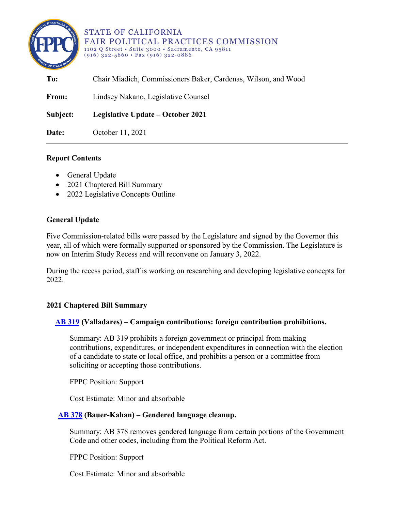

#### STATE OF CALIFORNIA FAIR POLITICAL PRACTICES COMMISSION 1102 Q Street • Suite 3000 • Sacramento, CA 95811 (916) 322-5660 • Fax (916) 322-0886

| To:      | Chair Miadich, Commissioners Baker, Cardenas, Wilson, and Wood |
|----------|----------------------------------------------------------------|
| From:    | Lindsey Nakano, Legislative Counsel                            |
| Subject: | Legislative Update – October 2021                              |
| Date:    | October 11, 2021                                               |

# **Report Contents**

- General Update
- 2021 Chaptered Bill Summary
- 2022 Legislative Concepts Outline

## **General Update**

Five Commission-related bills were passed by the Legislature and signed by the Governor this year, all of which were formally supported or sponsored by the Commission. The Legislature is now on Interim Study Recess and will reconvene on January 3, 2022.

During the recess period, staff is working on researching and developing legislative concepts for 2022.

### **2021 Chaptered Bill Summary**

### **[AB 319](http://leginfo.legislature.ca.gov/faces/billTextClient.xhtml?bill_id=202120220AB319) (Valladares) – Campaign contributions: foreign contribution prohibitions.**

Summary: AB 319 prohibits a foreign government or principal from making contributions, expenditures, or independent expenditures in connection with the election of a candidate to state or local office, and prohibits a person or a committee from soliciting or accepting those contributions.

FPPC Position: Support

Cost Estimate: Minor and absorbable

### **[AB 378](https://leginfo.legislature.ca.gov/faces/billNavClient.xhtml?bill_id=202120220AB378) (Bauer-Kahan) – Gendered language cleanup.**

Summary: AB 378 removes gendered language from certain portions of the Government Code and other codes, including from the Political Reform Act.

FPPC Position: Support

Cost Estimate: Minor and absorbable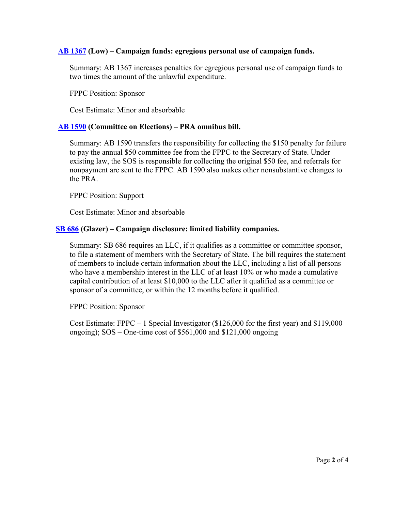# **[AB 1367](https://leginfo.legislature.ca.gov/faces/billNavClient.xhtml?bill_id=202120220AB1367) (Low) – Campaign funds: egregious personal use of campaign funds.**

Summary: AB 1367 increases penalties for egregious personal use of campaign funds to two times the amount of the unlawful expenditure.

FPPC Position: Sponsor

Cost Estimate: Minor and absorbable

### **[AB 1590](https://leginfo.legislature.ca.gov/faces/billNavClient.xhtml?bill_id=202120220AB1590) (Committee on Elections) – PRA omnibus bill.**

Summary: AB 1590 transfers the responsibility for collecting the \$150 penalty for failure to pay the annual \$50 committee fee from the FPPC to the Secretary of State. Under existing law, the SOS is responsible for collecting the original \$50 fee, and referrals for nonpayment are sent to the FPPC. AB 1590 also makes other nonsubstantive changes to the PRA.

FPPC Position: Support

Cost Estimate: Minor and absorbable

### **[SB 686](https://leginfo.legislature.ca.gov/faces/billNavClient.xhtml?bill_id=202120220SB686) (Glazer) – Campaign disclosure: limited liability companies.**

Summary: SB 686 requires an LLC, if it qualifies as a committee or committee sponsor, to file a statement of members with the Secretary of State. The bill requires the statement of members to include certain information about the LLC, including a list of all persons who have a membership interest in the LLC of at least 10% or who made a cumulative capital contribution of at least \$10,000 to the LLC after it qualified as a committee or sponsor of a committee, or within the 12 months before it qualified.

FPPC Position: Sponsor

Cost Estimate: FPPC  $-1$  Special Investigator (\$126,000 for the first year) and \$119,000 ongoing); SOS – One-time cost of \$561,000 and \$121,000 ongoing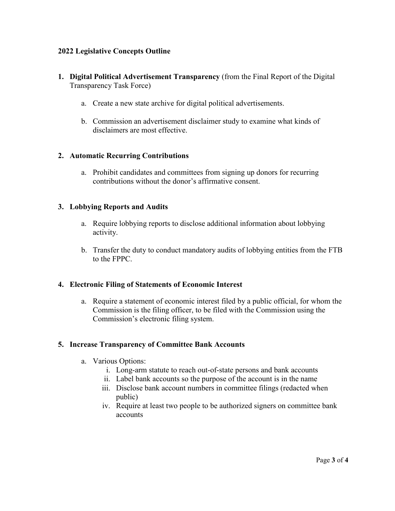## **2022 Legislative Concepts Outline**

- **1. Digital Political Advertisement Transparency** (from the Final Report of the Digital Transparency Task Force)
	- a. Create a new state archive for digital political advertisements.
	- b. Commission an advertisement disclaimer study to examine what kinds of disclaimers are most effective.

## **2. Automatic Recurring Contributions**

a. Prohibit candidates and committees from signing up donors for recurring contributions without the donor's affirmative consent.

## **3. Lobbying Reports and Audits**

- a. Require lobbying reports to disclose additional information about lobbying activity.
- b. Transfer the duty to conduct mandatory audits of lobbying entities from the FTB to the FPPC.

### **4. Electronic Filing of Statements of Economic Interest**

a. Require a statement of economic interest filed by a public official, for whom the Commission is the filing officer, to be filed with the Commission using the Commission's electronic filing system.

### **5. Increase Transparency of Committee Bank Accounts**

- a. Various Options:
	- i. Long-arm statute to reach out-of-state persons and bank accounts
	- ii. Label bank accounts so the purpose of the account is in the name
	- iii. Disclose bank account numbers in committee filings (redacted when public)
	- iv. Require at least two people to be authorized signers on committee bank accounts